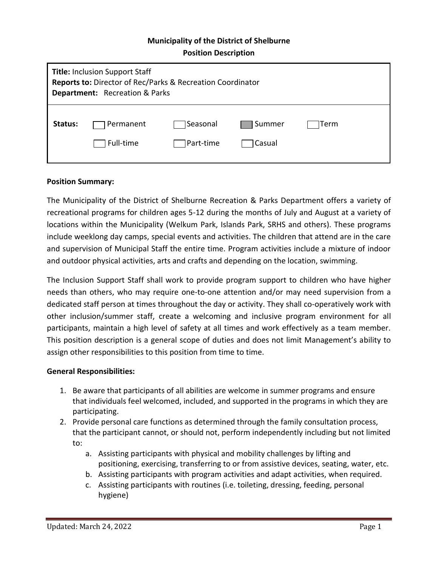### **Municipality of the District of Shelburne**

**Position Description**

| <b>Title: Inclusion Support Staff</b><br>Reports to: Director of Rec/Parks & Recreation Coordinator<br><b>Department:</b> Recreation & Parks |                        |                        |                   |      |
|----------------------------------------------------------------------------------------------------------------------------------------------|------------------------|------------------------|-------------------|------|
| Status:                                                                                                                                      | Permanent<br>Full-time | Seasonal<br>]Part-time | Summer<br> Casual | Term |

### **Position Summary:**

The Municipality of the District of Shelburne Recreation & Parks Department offers a variety of recreational programs for children ages 5-12 during the months of July and August at a variety of locations within the Municipality (Welkum Park, Islands Park, SRHS and others). These programs include weeklong day camps, special events and activities. The children that attend are in the care and supervision of Municipal Staff the entire time. Program activities include a mixture of indoor and outdoor physical activities, arts and crafts and depending on the location, swimming.

The Inclusion Support Staff shall work to provide program support to children who have higher needs than others, who may require one-to-one attention and/or may need supervision from a dedicated staff person at times throughout the day or activity. They shall co-operatively work with other inclusion/summer staff, create a welcoming and inclusive program environment for all participants, maintain a high level of safety at all times and work effectively as a team member. This position description is a general scope of duties and does not limit Management's ability to assign other responsibilities to this position from time to time.

### **General Responsibilities:**

- 1. Be aware that participants of all abilities are welcome in summer programs and ensure that individuals feel welcomed, included, and supported in the programs in which they are participating.
- 2. Provide personal care functions as determined through the family consultation process, that the participant cannot, or should not, perform independently including but not limited to:
	- a. Assisting participants with physical and mobility challenges by lifting and positioning, exercising, transferring to or from assistive devices, seating, water, etc.
	- b. Assisting participants with program activities and adapt activities, when required.
	- c. Assisting participants with routines (i.e. toileting, dressing, feeding, personal hygiene)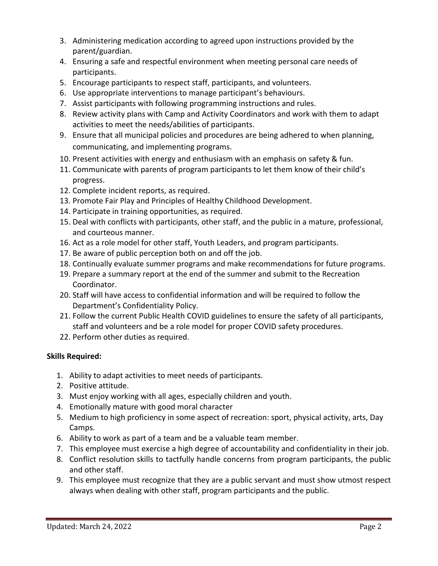- 3. Administering medication according to agreed upon instructions provided by the parent/guardian.
- 4. Ensuring a safe and respectful environment when meeting personal care needs of participants.
- 5. Encourage participants to respect staff, participants, and volunteers.
- 6. Use appropriate interventions to manage participant's behaviours.
- 7. Assist participants with following programming instructions and rules.
- 8. Review activity plans with Camp and Activity Coordinators and work with them to adapt activities to meet the needs/abilities of participants.
- 9. Ensure that all municipal policies and procedures are being adhered to when planning, communicating, and implementing programs.
- 10. Present activities with energy and enthusiasm with an emphasis on safety & fun.
- 11. Communicate with parents of program participants to let them know of their child's progress.
- 12. Complete incident reports, as required.
- 13. Promote Fair Play and Principles of Healthy Childhood Development.
- 14. Participate in training opportunities, as required.
- 15. Deal with conflicts with participants, other staff, and the public in a mature, professional, and courteous manner.
- 16. Act as a role model for other staff, Youth Leaders, and program participants.
- 17. Be aware of public perception both on and off the job.
- 18. Continually evaluate summer programs and make recommendations for future programs.
- 19. Prepare a summary report at the end of the summer and submit to the Recreation Coordinator.
- 20. Staff will have access to confidential information and will be required to follow the Department's Confidentiality Policy.
- 21. Follow the current Public Health COVID guidelines to ensure the safety of all participants, staff and volunteers and be a role model for proper COVID safety procedures.
- 22. Perform other duties as required.

# **Skills Required:**

- 1. Ability to adapt activities to meet needs of participants.
- 2. Positive attitude.
- 3. Must enjoy working with all ages, especially children and youth.
- 4. Emotionally mature with good moral character
- 5. Medium to high proficiency in some aspect of recreation: sport, physical activity, arts, Day Camps.
- 6. Ability to work as part of a team and be a valuable team member.
- 7. This employee must exercise a high degree of accountability and confidentiality in their job.
- 8. Conflict resolution skills to tactfully handle concerns from program participants, the public and other staff.
- 9. This employee must recognize that they are a public servant and must show utmost respect always when dealing with other staff, program participants and the public.